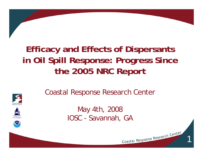# **Efficacy and Effects of Dispersants in Oil Spill Response: Progress Since the 2005 NRC Report**







Coastal Response Research Center

Coastal Response Research Center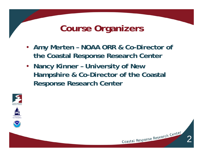### **Course Organizers**

- **Amy Merten – NOAA ORR & Co-Director of the Coastal Response Research Center**
- **Nancy Kinner – University of New Hampshire & Co-Director of the Coastal Response Research Center**



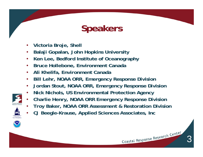# **Speakers**

- •**Victoria Broje, Shell**
- •**Balaji Gopalan, John Hopkins University**
- •**Ken Lee, Bedford Institute of Oceanography**
- •**Bruce Hollebone, Environment Canada**
- •**Ali Khelifa, Environment Canada**
- •**Bill Lehr, NOAA ORR, Emergency Response Division**
- •**Jordan Stout, NOAA ORR, Emergency Response Division**
- •**Nick Nichols, US Environmental Protection Agency**
- •**Charlie Henry, NOAA ORR Emergency Response Division**
- •**Troy Baker, NOAA ORR Assessment & Restoration Division**
- •**CJ Beegle-Krause, Applied Sciences Associates, Inc**

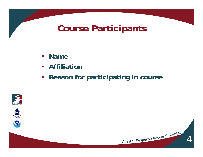#### **Course Participants**

- **Name**
- **Affiliation**
- **Reason for participating in course**







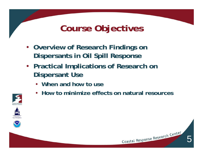## **Course Objectives**

- **Overview of Research Findings on Dispersants in Oil Spill Response**
- **Practical Implications of Research on Dispersant Use**
	- **When and how to use**
	- **How to minimize effects on natural resources**





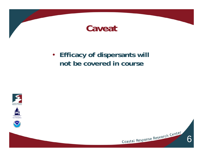

#### • **Efficacy of dispersants will not be covered in course**







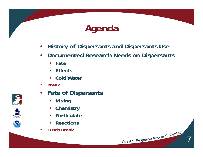

- $\bullet$ **History of Dispersants and Dispersants Use**
- **Documented Research Needs on Dispersants**
	- **Fate**
	- $\bullet$ **Effects**
	- **Cold Water**
- •*Break*
- **Fate of Dispersants**
	- $\bullet$ **Mixing**
	- $\bullet$ **Chemistry**
	- $\bullet$ **Particulate**
	- $\bullet$ **•** Reactions
- •*Lunch Break*







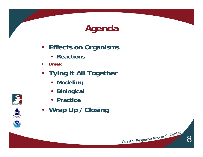# **Agenda**

- **Effects on Organisms**
	- **Reactions**
- •*Break*
- **Tying it All Together**
	- **Modeling**
	- **Biological**
	- **Practice**
- **Wrap Up / Closing**





University<br>New Hampsh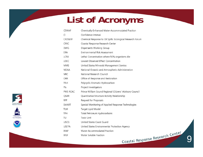# **List of Acronyms**

| <b>CEWAF</b>    | Chemically-Enhanced Water-Accommodated Fraction            |
|-----------------|------------------------------------------------------------|
| CI              | Confidence Interval                                        |
| <b>CROSERF</b>  | Chemical Response to Oil Spills: Ecological Research Forum |
| CRRC            | Coastal Response Research Center                           |
| <b>DWG</b>      | Dispersants Working Group                                  |
| ERA             | <b>Environmental Risk Assessment</b>                       |
| <b>LC50</b>     | Lethal Concentration where 50% organisms die               |
| LOEC            | Lowest Observed Effect Concentration                       |
| <b>MMS</b>      | United States Minerals Management Service                  |
| <b>NOAA</b>     | National Oceanic and Atmospheric Administration            |
| <b>NRC</b>      | National Research Council                                  |
| ORR             | Office of Response and Restoration                         |
| PAH             | Polycyclic Aromatic Hydrocarbon                            |
| Pls             | Project Investigators                                      |
| <b>PWS RCAC</b> | Prince William Sound Regional Citizens' Advisory Council   |
| QSAR            | Quantitative Structure Activity Relationship               |
| <b>RFP</b>      | Request for Proposals                                      |
| SMART           | Special Monitoring of Applied Response Technologies        |
| <b>TLM</b>      | Target Lipid Model                                         |
| TPH             | Total Petroleum Hydrocarbons                               |
| TU              | <b>Toxic Unit</b>                                          |
| <b>USCG</b>     | United States Coast Guard                                  |
| <b>USEPA</b>    | United States Environmental Protection Agency              |
| <b>WAF</b>      | Water-Accommodated Fraction                                |
| <b>WSF</b>      | Water Soluble Fraction                                     |
|                 | Coastal Response Research Center                           |
|                 |                                                            |





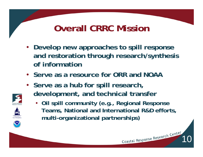## **Overall CRRC Mission**

- **Develop new approaches to spill response and restoration through research/synthesis of information**
- **Serve as a resource for ORR and NOAA**
- **Serve as a hub for spill research, development, and technical transfer**

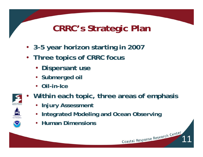# **CRRC's Strategic Plan**

- **3-5 year horizon starting in 2007**
- **Three topics of CRRC focus**
	- **Dispersant use**
	- **Submerged oil**
	- •**Oil-in-Ice**
- $\bullet$ **Within each topic, three areas of emphasis**

- **Injury Assessment**
- •**Integrated Modeling and Ocean Observing**
- **Human Dimensions**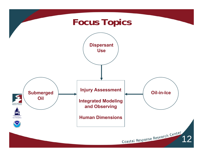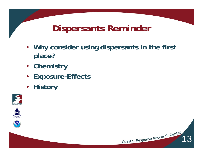## **Dispersants Reminder**

- **Why consider using dispersants in the first place?**
- **Chemistry**
- $\bullet$ **Exposure-Effects**
- $\bullet$ **History**







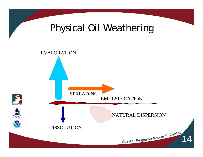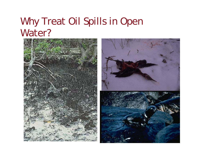# Why Treat Oil Spills in Open Water?

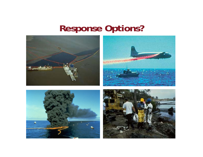# **Response Options?**

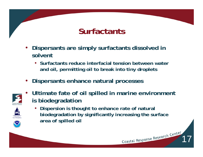#### **Surfactants**

- • **Dispersants are simply surfactants dissolved in solvent**
	- **Surfactants reduce interfacial tension between water and oil, permitting oil to break into tiny droplets**
- $\bullet$ **Dispersants enhance natural processes**



•

 **Ultimate fate of oil spilled in marine environment is biodegradation**



• **Dispersion is thought to enhance rate of natural biodegradation by significantly increasing the surface area of spilled oil**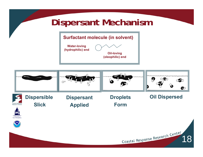#### **Dispersant Mechanism**





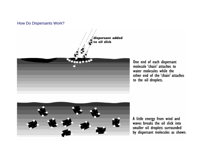#### How Do Dispersants Work?



One end of each dispersant molecule 'chain' attaches to water molecules while the other end of the 'chain' attaches to the oil droplets.



A little energy from wind and<br>waves breaks the oil slick into smaller oil droplets surrounded<br>by dispersant molecules as shown.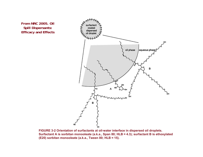**From NRC 2005. Oil Spill Dispersants: Efficacy and Effects**



**FIGURE 3-2 Orientation of surfactants at oil-water interface in dispersed oil droplets. Surfactant A is sorbitan monooleate (a.k.a., Span 80; HLB ≈ 4.3); surfactant B is ethoxylated (E20) sorbitan monooleate (a.k.a., Tween 80; HLB ≈ 15).**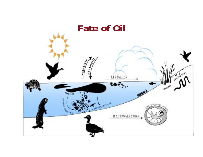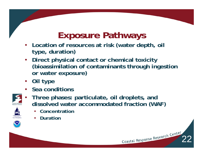# **Exposure Pathways**

- **Location of resources at risk (water depth, oil type, duration)**
- **Direct physical contact or chemical toxicity (bioassimilation of contaminants through ingestion or water exposure)**
- **Oil type**
- **Sea conditions**



- • **Three phases: particulate, oil droplets, and dissolved water accommodated fraction (WAF)**
	- •**Concentration**
	- •**Duration**

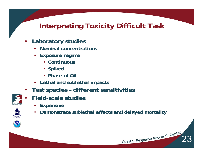#### **Interpreting Toxicity Difficult Task**

- • **Laboratory studies**
	- •**Nominal concentrations**
	- **Exposure regime**
		- **Continuous**
		- **Spiked**
		- **Phase of Oil**
	- **Lethal and sublethal impacts**
- **Test species – different sensitivities**
- • **Field-scale studies**
	- •**Expensive**
	- •**Demonstrate sublethal effects and delayed mortality**

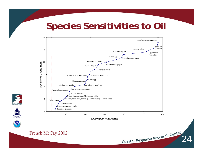#### **Species Sensitivities to Oil**



University<br>New Hampsh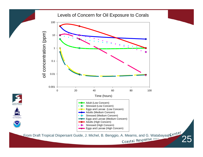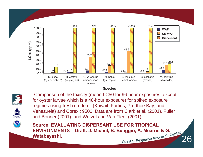

#### **Species**





-Comparison of the toxicity (mean LC50 for 96-hour exposures, except for oyster larvae which is a 48-hour exposure) for spiked exposure regimes using fresh crude oil (Kuwait, Forties, Prudhoe Bay, and Venezuela) and Corexit 9500. Data are from Clark et al. (2001), Fuller and Bonner (2001), and Wetzel and Van Fleet (2001).

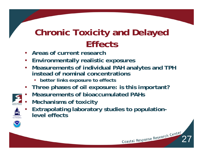# **Chronic Toxicity and Delayed Effects**

- •**Areas of current research**
- **Environmentally realistic exposures**
- **Measurements of individual PAH analytes and TPH instead of nominal concentrations**
	- •**better links exposure to effects**
- **Three phases of oil exposure: is this important?**
- •**Measurements of bioaccumulated PAHs**
- •**Mechanisms of toxicity**
- • **Extrapolating laboratory studies to populationlevel effects**

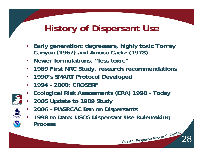# **History of Dispersant Use**

- • **Early generation: degreasers, highly toxic** *Torrey Canyon* **(1967) and** *Amoco Cadiz (1978* **)**
- **Newer formulations, "less toxic"**
- $\bullet$ **1989 First NRC Study, research recommendations**
- •**1990's SMART Protocol Developed**
- •**1994 - 2000; CROSERF**
- •**Ecological Risk Assessments (ERA) 1998 - Today**
- • **2005 Update to 1989 Study**
	- •**2006 – PWSRCAC Ban on Dispersants**
- • **1998 to Date: USCG Dispersant Use Rulemaking Process**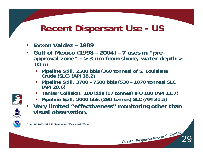# **Recent Dispersant Use - US**

- •*Exxon Valdez* **– 1989**
- • **Gulf of Mexico (1998 – 2004) – 7 uses in "preapproval zone" - > 3 nm from shore, water depth > 10 m**
	- **Pipeline Spill, 2500 bbls (360 tonnes) of S. Louisiana Crude (SLC) (API 38.2)**
	- **Pipeline Spill, 3700 – 7500 bbls (530 – 1070 tonnes) SLC (API 28.6)**
	- **Tanker Collision, 100 bbls (17 tonnes) IFO 180 (API 11.7)**
	- **Pipeline Spill, 2000 bbls (290 tonnes) SLC (API 31.5)**



•

 **Very limited "effectiveness" monitoring other than visual observation.** 



**From NRC 2005. Oil Spill Dispersants: Efficacy and Effects**

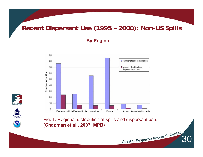#### **Recent Dispersant Use (1995 – 2000): Non-US Spills**

#### **By Region**







Fig. 1. Regional distribution of spills and dispersant use. **(Chapman et al., 2007, MPB)** 

Coastal Response Research Center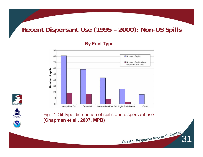#### **Recent Dispersant Use (1995 – 2000): Non-US Spills**

90 80 Number of spills 70 Number of spills where dispersant was used 60 Number of spills 50 40 30 20  $10<sup>°</sup>$  $\mathsf{O}\xspace$ Intermediate Fuel Oil Light Fuels/Diesel Heavy Fuel Oil Crude Oil Other







Fig. 2. Oil-type distribution of spills and dispersant use. **(Chapman et al., 2007, MPB)**

Coastal Response Research Center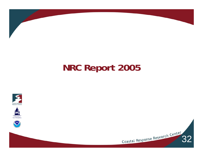

# **NRC Report 2005**







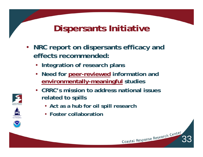## **Dispersants Initiative**

- **NRC report on dispersants efficacy and effects recommended:** 
	- **Integration of research plans**
	- **Need for peer-reviewed information and environmentally-meaningful studies**
	- **CRRC's mission to address national issues related to spills**
		- **Act as a hub for oil spill research**
		- **Foster collaboration**





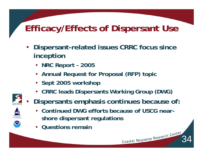# **Efficacy/Effects of Dispersant Use**

- $\bullet$  **Dispersant-related issues CRRC focus since inception**
	- **NRC Report - 2005**
	- **Annual Request for Proposal (RFP) topic**
	- **Sept 2005 workshop**
	- **CRRC leads Dispersants Working Group (DWG)**



- $\bullet$  **Dispersants emphasis continues because of:**
	- **Continued DWG efforts because of USCG nearshore dispersant regulations**

34

•**Questions remain**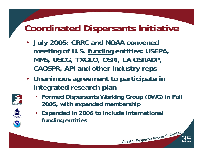## **Coordinated Dispersants Initiative**

- **July 2005: CRRC and NOAA convened meeting of U.S. funding entities: USEPA, MMS, USCG, TXGLO, OSRI, LA OSRADP, CAOSPR, API and other Industry reps**
- **Unanimous agreement to participate in integrated research plan**



• **Formed Dispersants Working Group (DWG) in Fall 2005, with expanded membership**

35



• **Expanded in 2006 to include international funding entities**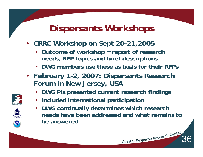## **Dispersants Workshops**

- **CRRC Workshop on Sept 20-21,2005** 
	- **Outcome of workshop = report of research needs, RFP topics and brief descriptions**
	- **DWG members use these as basis for their RFPs**
- **February 1-2, 2007: Dispersants Research Forum in New Jersey, USA**
	- **DWG PIs presented current research findings**
	- **Included international participation**
	- **DWG continually determines which research needs have been addressed and what remains to be answered**

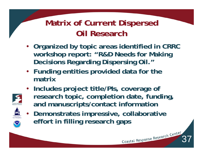#### **Matrix of Current Dispersed Oil Research**

- **Organized by topic areas identified in CRRC workshop report: "R&D Needs for Making Decisions Regarding Dispersing Oil."**
- **Funding entities provided data for the matrix**
- **Includes project title/PIs, coverage of research topic, completion date, funding, and manuscripts/contact information**
- $\bullet$  **Demonstrates impressive, collaborative effort in filling research gaps**

Coastal Response Research Center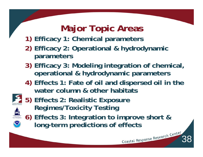# **Major Topic Areas**

- **1) Efficacy 1: Chemical parameters**
- **2) Efficacy 2: Operational & hydrodynamic parameters**
- **3) Efficacy 3: Modeling integration of chemical, operational & hydrodynamic parameters**
- **4) Effects 1: Fate of oil and dispersed oil in the water column & other habitats**



**5) Effects 2: Realistic Exposure Regimes/Toxicity Testing**

**6) Effects 3: Integration to improve short & long-term predictions of effects**